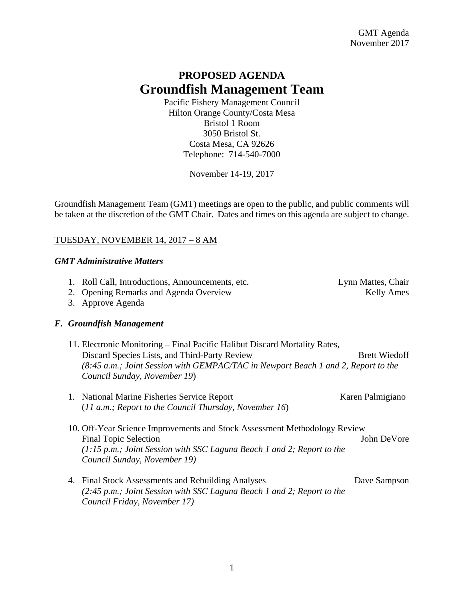# **PROPOSED AGENDA Groundfish Management Team**

Pacific Fishery Management Council Hilton Orange County/Costa Mesa Bristol 1 Room 3050 Bristol St. Costa Mesa, CA 92626 Telephone: 714-540-7000

November 14-19, 2017

Groundfish Management Team (GMT) meetings are open to the public, and public comments will be taken at the discretion of the GMT Chair. Dates and times on this agenda are subject to change.

## TUESDAY, NOVEMBER 14, 2017 – 8 AM

#### *GMT Administrative Matters*

|  | 1. Roll Call, Introductions, Announcements, etc.<br>2. Opening Remarks and Agenda Overview<br>3. Approve Agenda                                                                                                                                  | Lynn Mattes, Chair<br><b>Kelly Ames</b> |
|--|--------------------------------------------------------------------------------------------------------------------------------------------------------------------------------------------------------------------------------------------------|-----------------------------------------|
|  | F. Groundfish Management                                                                                                                                                                                                                         |                                         |
|  | 11. Electronic Monitoring – Final Pacific Halibut Discard Mortality Rates,<br>Discard Species Lists, and Third-Party Review<br>(8:45 a.m.; Joint Session with GEMPAC/TAC in Newport Beach 1 and 2, Report to the<br>Council Sunday, November 19) | <b>Brett Wiedoff</b>                    |
|  | 1. National Marine Fisheries Service Report<br>$(11 a.m.; Report to the Council Thursday, November 16)$                                                                                                                                          | Karen Palmigiano                        |
|  | 10. Off-Year Science Improvements and Stock Assessment Methodology Review<br><b>Final Topic Selection</b><br>$(1:15 \, p.m.;$ Joint Session with SSC Laguna Beach 1 and 2; Report to the<br>Council Sunday, November 19)                         | John DeVore                             |
|  | 4. Final Stock Assessments and Rebuilding Analyses<br>(2:45 p.m.; Joint Session with SSC Laguna Beach 1 and 2; Report to the<br>Council Friday, November 17)                                                                                     | Dave Sampson                            |

1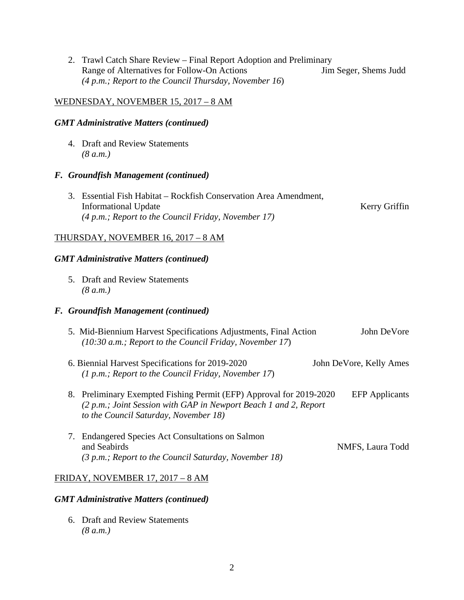|                                               |                                      | 2. Trawl Catch Share Review – Final Report Adoption and Preliminary<br>Range of Alternatives for Follow-On Actions<br>(4 p.m.; Report to the Council Thursday, November 16)                     | Jim Seger, Shems Judd   |  |  |  |
|-----------------------------------------------|--------------------------------------|-------------------------------------------------------------------------------------------------------------------------------------------------------------------------------------------------|-------------------------|--|--|--|
| <u>WEDNESDAY, NOVEMBER 15, 2017 – 8 AM</u>    |                                      |                                                                                                                                                                                                 |                         |  |  |  |
| <b>GMT</b> Administrative Matters (continued) |                                      |                                                                                                                                                                                                 |                         |  |  |  |
|                                               |                                      | 4. Draft and Review Statements<br>(8 a.m.)                                                                                                                                                      |                         |  |  |  |
|                                               | F. Groundfish Management (continued) |                                                                                                                                                                                                 |                         |  |  |  |
|                                               | 3.                                   | Essential Fish Habitat - Rockfish Conservation Area Amendment,<br><b>Informational Update</b><br>(4 p.m.; Report to the Council Friday, November 17)                                            | Kerry Griffin           |  |  |  |
| <b>THURSDAY, NOVEMBER 16, 2017 - 8 AM</b>     |                                      |                                                                                                                                                                                                 |                         |  |  |  |
| <b>GMT</b> Administrative Matters (continued) |                                      |                                                                                                                                                                                                 |                         |  |  |  |
|                                               |                                      | 5. Draft and Review Statements<br>(8 a.m.)                                                                                                                                                      |                         |  |  |  |
|                                               |                                      | F. Groundfish Management (continued)                                                                                                                                                            |                         |  |  |  |
|                                               |                                      | 5. Mid-Biennium Harvest Specifications Adjustments, Final Action<br>(10:30 a.m.; Report to the Council Friday, November 17)                                                                     | John DeVore             |  |  |  |
|                                               |                                      | 6. Biennial Harvest Specifications for 2019-2020<br>(1 p.m.; Report to the Council Friday, November 17)                                                                                         | John DeVore, Kelly Ames |  |  |  |
|                                               |                                      | 8. Preliminary Exempted Fishing Permit (EFP) Approval for 2019-2020 EFP Applicants<br>(2 p.m.; Joint Session with GAP in Newport Beach 1 and 2, Report<br>to the Council Saturday, November 18) |                         |  |  |  |
|                                               | 7.                                   | <b>Endangered Species Act Consultations on Salmon</b><br>and Seabirds<br>(3 p.m.; Report to the Council Saturday, November 18)                                                                  | NMFS, Laura Todd        |  |  |  |
| FRIDAY, NOVEMBER 17, 2017 - 8 AM              |                                      |                                                                                                                                                                                                 |                         |  |  |  |
| <b>GMT</b> Administrative Matters (continued) |                                      |                                                                                                                                                                                                 |                         |  |  |  |

 6. Draft and Review Statements  *(8 a.m.)*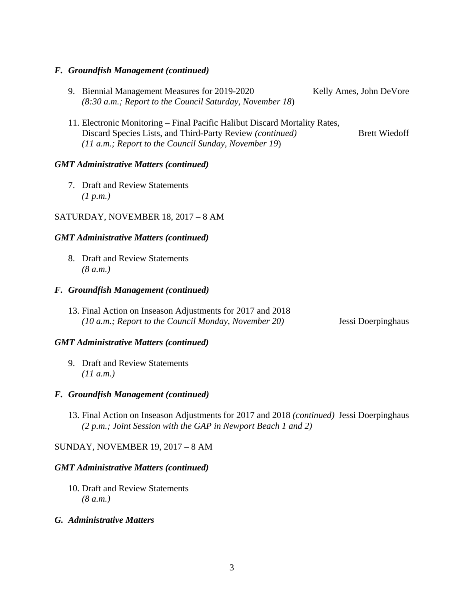#### *F. Groundfish Management (continued)*

- 9. Biennial Management Measures for 2019-2020 Kelly Ames, John DeVore  *(8:30 a.m.; Report to the Council Saturday, November 18*)
- 11. Electronic Monitoring Final Pacific Halibut Discard Mortality Rates, Discard Species Lists, and Third-Party Review *(continued)* Brett Wiedoff *(11 a.m.; Report to the Council Sunday, November 19*)

#### *GMT Administrative Matters (continued)*

 7. Draft and Review Statements  *(1 p.m.)* 

#### SATURDAY, NOVEMBER 18, 2017 – 8 AM

#### *GMT Administrative Matters (continued)*

 8. Draft and Review Statements  *(8 a.m.)* 

#### *F. Groundfish Management (continued)*

13. Final Action on Inseason Adjustments for 2017 and 2018 *(10 a.m.; Report to the Council Monday, November 20)* Jessi Doerpinghaus

#### *GMT Administrative Matters (continued)*

 9. Draft and Review Statements  *(11 a.m.)* 

#### *F. Groundfish Management (continued)*

13. Final Action on Inseason Adjustments for 2017 and 2018 *(continued)* Jessi Doerpinghaus *(2 p.m.; Joint Session with the GAP in Newport Beach 1 and 2)* 

### SUNDAY, NOVEMBER 19, 2017 – 8 AM

#### *GMT Administrative Matters (continued)*

- 10. Draft and Review Statements  *(8 a.m.)*
- *G. Administrative Matters*